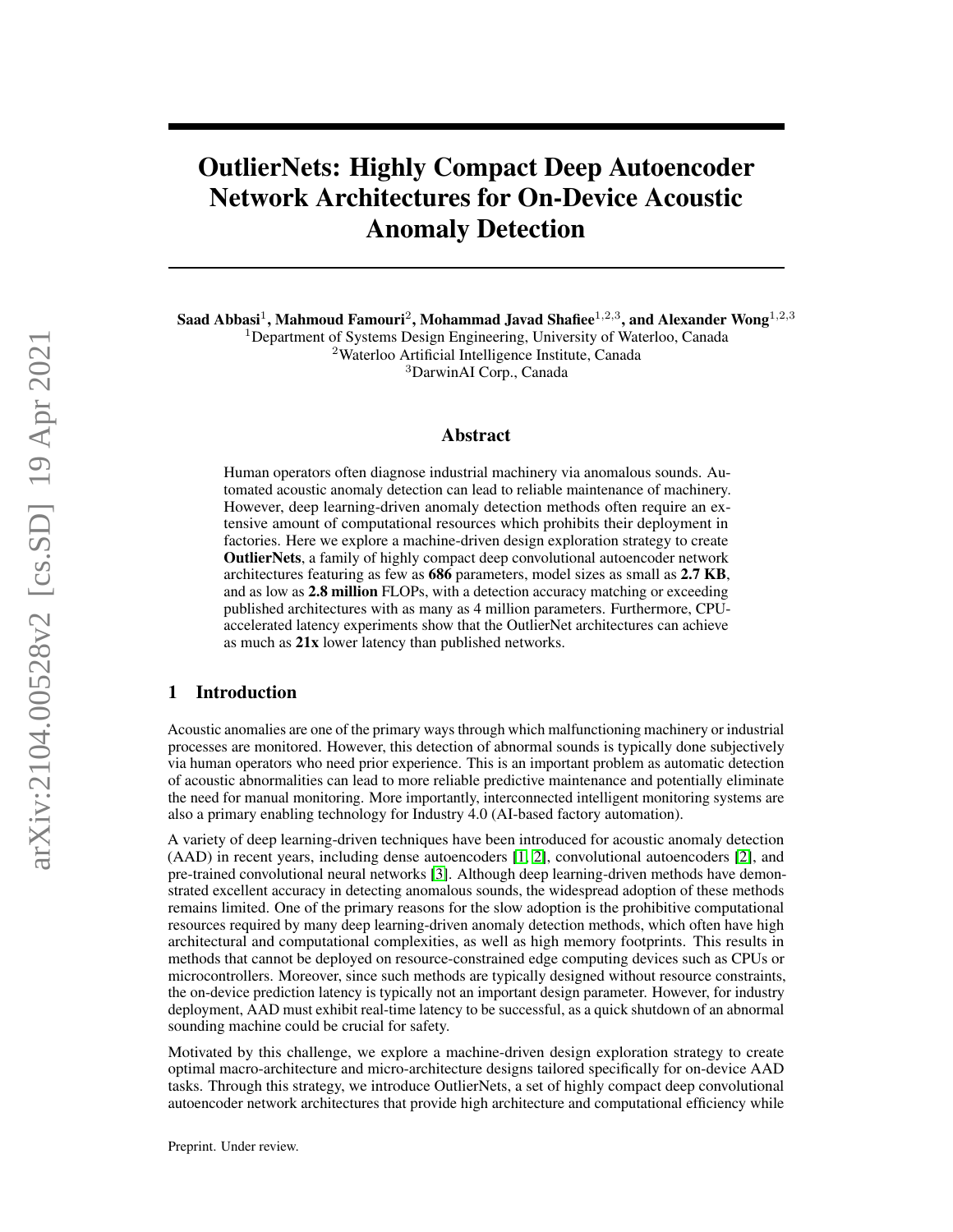# OutlierNets: Highly Compact Deep Autoencoder Network Architectures for On-Device Acoustic Anomaly Detection

Saad Abbasi<sup>1</sup>, Mahmoud Famouri<sup>2</sup>, Mohammad Javad Shafiee<sup>1,2,3</sup>, and Alexander Wong<sup>1,2,3</sup>

<sup>1</sup>Department of Systems Design Engineering, University of Waterloo, Canada

<sup>2</sup>Waterloo Artificial Intelligence Institute, Canada

<sup>3</sup>DarwinAI Corp., Canada

# Abstract

Human operators often diagnose industrial machinery via anomalous sounds. Automated acoustic anomaly detection can lead to reliable maintenance of machinery. However, deep learning-driven anomaly detection methods often require an extensive amount of computational resources which prohibits their deployment in factories. Here we explore a machine-driven design exploration strategy to create OutlierNets, a family of highly compact deep convolutional autoencoder network architectures featuring as few as 686 parameters, model sizes as small as 2.7 KB, and as low as 2.8 million FLOPs, with a detection accuracy matching or exceeding published architectures with as many as 4 million parameters. Furthermore, CPUaccelerated latency experiments show that the OutlierNet architectures can achieve as much as 21x lower latency than published networks.

# 1 Introduction

Acoustic anomalies are one of the primary ways through which malfunctioning machinery or industrial processes are monitored. However, this detection of abnormal sounds is typically done subjectively via human operators who need prior experience. This is an important problem as automatic detection of acoustic abnormalities can lead to more reliable predictive maintenance and potentially eliminate the need for manual monitoring. More importantly, interconnected intelligent monitoring systems are also a primary enabling technology for Industry 4.0 (AI-based factory automation).

A variety of deep learning-driven techniques have been introduced for acoustic anomaly detection (AAD) in recent years, including dense autoencoders [\[1,](#page-5-0) [2\]](#page-5-1), convolutional autoencoders [\[2\]](#page-5-1), and pre-trained convolutional neural networks [\[3\]](#page-5-2). Although deep learning-driven methods have demonstrated excellent accuracy in detecting anomalous sounds, the widespread adoption of these methods remains limited. One of the primary reasons for the slow adoption is the prohibitive computational resources required by many deep learning-driven anomaly detection methods, which often have high architectural and computational complexities, as well as high memory footprints. This results in methods that cannot be deployed on resource-constrained edge computing devices such as CPUs or microcontrollers. Moreover, since such methods are typically designed without resource constraints, the on-device prediction latency is typically not an important design parameter. However, for industry deployment, AAD must exhibit real-time latency to be successful, as a quick shutdown of an abnormal sounding machine could be crucial for safety.

Motivated by this challenge, we explore a machine-driven design exploration strategy to create optimal macro-architecture and micro-architecture designs tailored specifically for on-device AAD tasks. Through this strategy, we introduce OutlierNets, a set of highly compact deep convolutional autoencoder network architectures that provide high architecture and computational efficiency while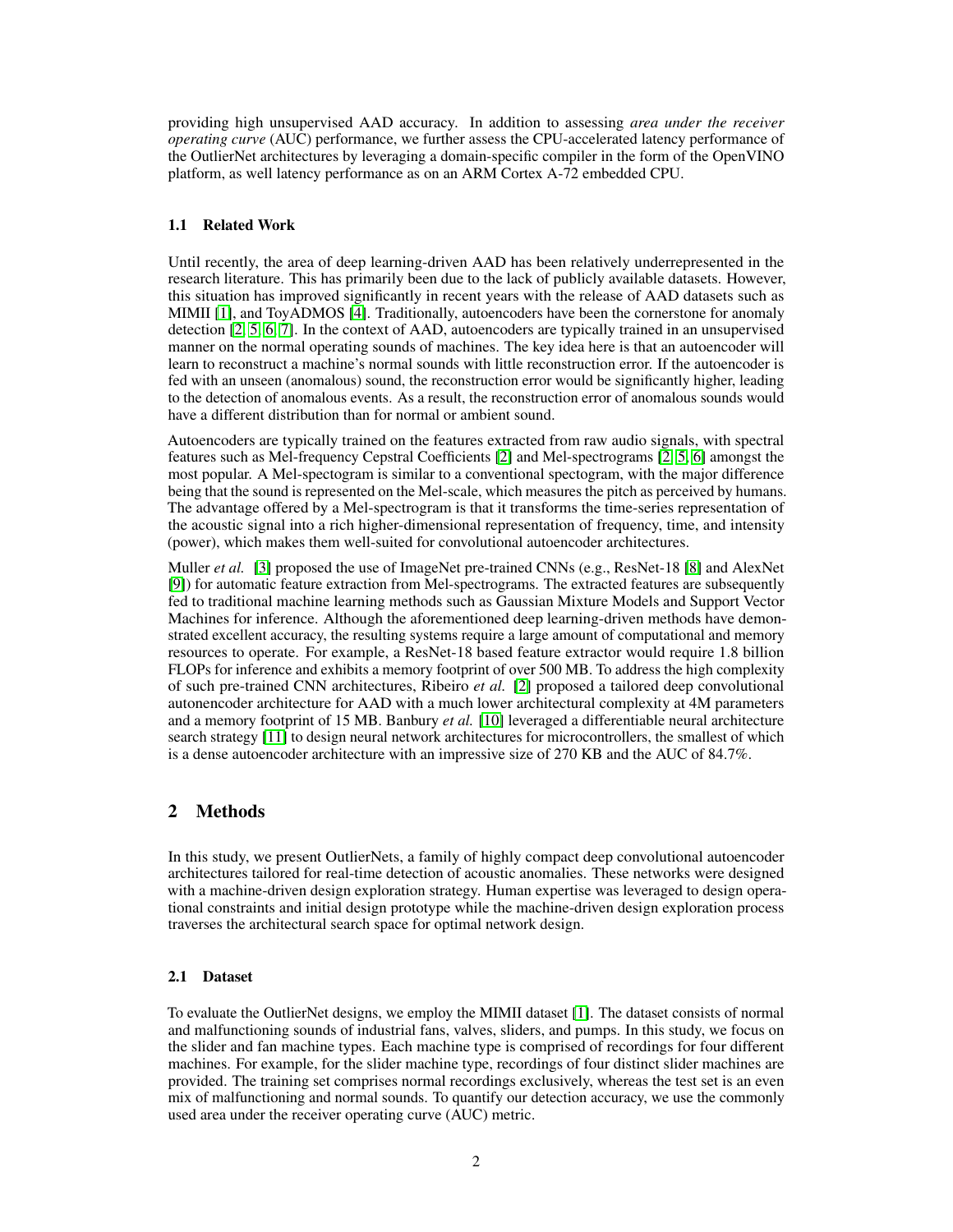providing high unsupervised AAD accuracy. In addition to assessing *area under the receiver operating curve* (AUC) performance, we further assess the CPU-accelerated latency performance of the OutlierNet architectures by leveraging a domain-specific compiler in the form of the OpenVINO platform, as well latency performance as on an ARM Cortex A-72 embedded CPU.

### 1.1 Related Work

Until recently, the area of deep learning-driven AAD has been relatively underrepresented in the research literature. This has primarily been due to the lack of publicly available datasets. However, this situation has improved significantly in recent years with the release of AAD datasets such as MIMII [\[1\]](#page-5-0), and ToyADMOS [\[4\]](#page-5-3). Traditionally, autoencoders have been the cornerstone for anomaly detection [\[2,](#page-5-1) [5,](#page-5-4) [6,](#page-5-5) [7\]](#page-5-6). In the context of AAD, autoencoders are typically trained in an unsupervised manner on the normal operating sounds of machines. The key idea here is that an autoencoder will learn to reconstruct a machine's normal sounds with little reconstruction error. If the autoencoder is fed with an unseen (anomalous) sound, the reconstruction error would be significantly higher, leading to the detection of anomalous events. As a result, the reconstruction error of anomalous sounds would have a different distribution than for normal or ambient sound.

Autoencoders are typically trained on the features extracted from raw audio signals, with spectral features such as Mel-frequency Cepstral Coefficients [\[2\]](#page-5-1) and Mel-spectrograms [\[2,](#page-5-1) [5,](#page-5-4) [6\]](#page-5-5) amongst the most popular. A Mel-spectogram is similar to a conventional spectogram, with the major difference being that the sound is represented on the Mel-scale, which measures the pitch as perceived by humans. The advantage offered by a Mel-spectrogram is that it transforms the time-series representation of the acoustic signal into a rich higher-dimensional representation of frequency, time, and intensity (power), which makes them well-suited for convolutional autoencoder architectures.

Muller *et al.* [\[3\]](#page-5-2) proposed the use of ImageNet pre-trained CNNs (e.g., ResNet-18 [\[8\]](#page-5-7) and AlexNet [\[9\]](#page-5-8)) for automatic feature extraction from Mel-spectrograms. The extracted features are subsequently fed to traditional machine learning methods such as Gaussian Mixture Models and Support Vector Machines for inference. Although the aforementioned deep learning-driven methods have demonstrated excellent accuracy, the resulting systems require a large amount of computational and memory resources to operate. For example, a ResNet-18 based feature extractor would require 1.8 billion FLOPs for inference and exhibits a memory footprint of over 500 MB. To address the high complexity of such pre-trained CNN architectures, Ribeiro *et al.* [\[2\]](#page-5-1) proposed a tailored deep convolutional autonencoder architecture for AAD with a much lower architectural complexity at 4M parameters and a memory footprint of 15 MB. Banbury *et al.* [\[10\]](#page-5-9) leveraged a differentiable neural architecture search strategy [\[11\]](#page-6-0) to design neural network architectures for microcontrollers, the smallest of which is a dense autoencoder architecture with an impressive size of 270 KB and the AUC of 84.7%.

# 2 Methods

In this study, we present OutlierNets, a family of highly compact deep convolutional autoencoder architectures tailored for real-time detection of acoustic anomalies. These networks were designed with a machine-driven design exploration strategy. Human expertise was leveraged to design operational constraints and initial design prototype while the machine-driven design exploration process traverses the architectural search space for optimal network design.

# 2.1 Dataset

To evaluate the OutlierNet designs, we employ the MIMII dataset [\[1\]](#page-5-0). The dataset consists of normal and malfunctioning sounds of industrial fans, valves, sliders, and pumps. In this study, we focus on the slider and fan machine types. Each machine type is comprised of recordings for four different machines. For example, for the slider machine type, recordings of four distinct slider machines are provided. The training set comprises normal recordings exclusively, whereas the test set is an even mix of malfunctioning and normal sounds. To quantify our detection accuracy, we use the commonly used area under the receiver operating curve (AUC) metric.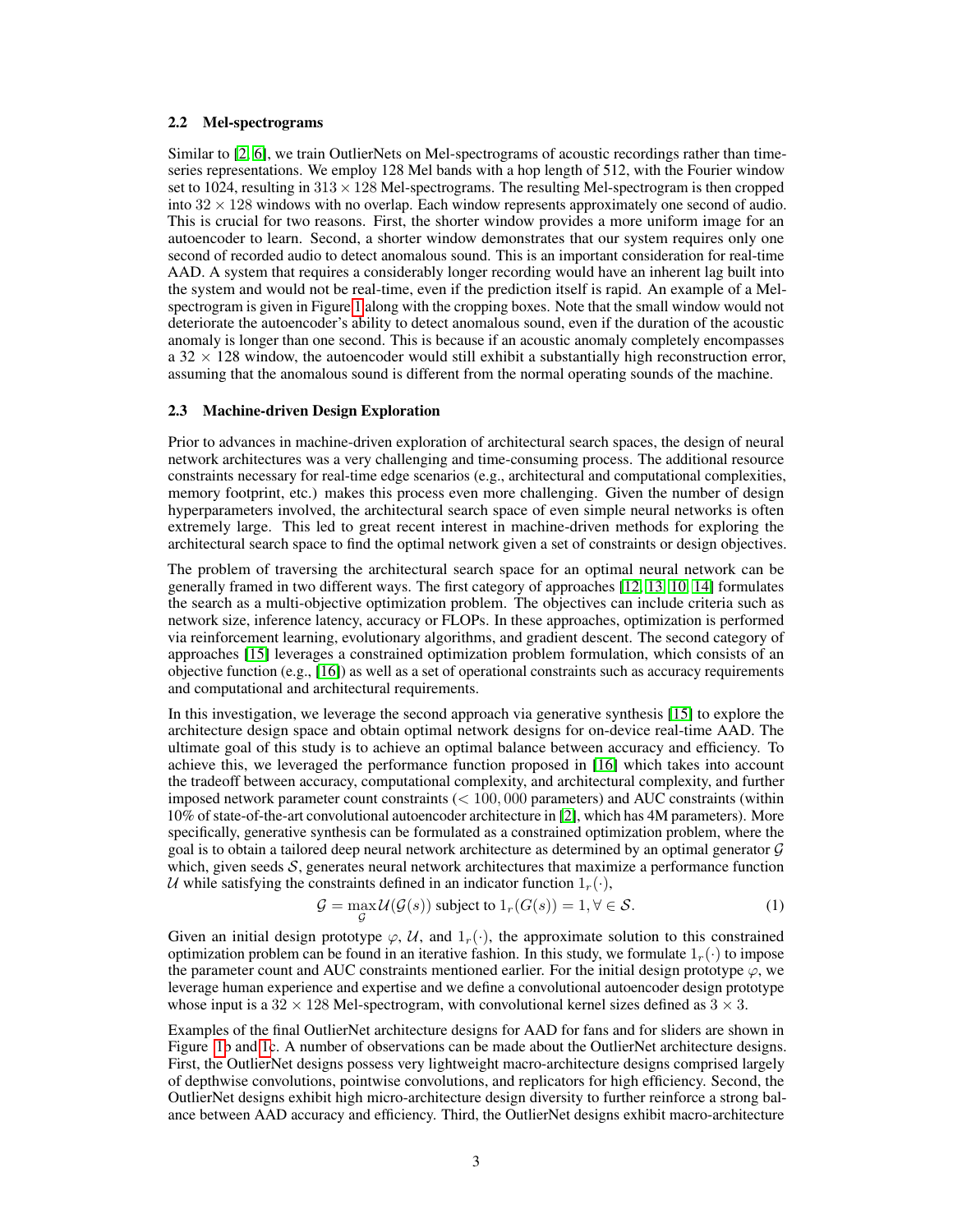#### 2.2 Mel-spectrograms

Similar to [\[2,](#page-5-1) [6\]](#page-5-5), we train OutlierNets on Mel-spectrograms of acoustic recordings rather than timeseries representations. We employ 128 Mel bands with a hop length of 512, with the Fourier window set to 1024, resulting in  $313 \times 128$  Mel-spectrograms. The resulting Mel-spectrogram is then cropped into  $32 \times 128$  windows with no overlap. Each window represents approximately one second of audio. This is crucial for two reasons. First, the shorter window provides a more uniform image for an autoencoder to learn. Second, a shorter window demonstrates that our system requires only one second of recorded audio to detect anomalous sound. This is an important consideration for real-time AAD. A system that requires a considerably longer recording would have an inherent lag built into the system and would not be real-time, even if the prediction itself is rapid. An example of a Melspectrogram is given in Figure [1](#page-3-0) along with the cropping boxes. Note that the small window would not deteriorate the autoencoder's ability to detect anomalous sound, even if the duration of the acoustic anomaly is longer than one second. This is because if an acoustic anomaly completely encompasses  $a$  32  $\times$  128 window, the autoencoder would still exhibit a substantially high reconstruction error, assuming that the anomalous sound is different from the normal operating sounds of the machine.

## 2.3 Machine-driven Design Exploration

Prior to advances in machine-driven exploration of architectural search spaces, the design of neural network architectures was a very challenging and time-consuming process. The additional resource constraints necessary for real-time edge scenarios (e.g., architectural and computational complexities, memory footprint, etc.) makes this process even more challenging. Given the number of design hyperparameters involved, the architectural search space of even simple neural networks is often extremely large. This led to great recent interest in machine-driven methods for exploring the architectural search space to find the optimal network given a set of constraints or design objectives.

The problem of traversing the architectural search space for an optimal neural network can be generally framed in two different ways. The first category of approaches [\[12,](#page-6-1) [13,](#page-6-2) [10,](#page-5-9) [14\]](#page-6-3) formulates the search as a multi-objective optimization problem. The objectives can include criteria such as network size, inference latency, accuracy or FLOPs. In these approaches, optimization is performed via reinforcement learning, evolutionary algorithms, and gradient descent. The second category of approaches [\[15\]](#page-6-4) leverages a constrained optimization problem formulation, which consists of an objective function (e.g., [\[16\]](#page-6-5)) as well as a set of operational constraints such as accuracy requirements and computational and architectural requirements.

In this investigation, we leverage the second approach via generative synthesis [\[15\]](#page-6-4) to explore the architecture design space and obtain optimal network designs for on-device real-time AAD. The ultimate goal of this study is to achieve an optimal balance between accuracy and efficiency. To achieve this, we leveraged the performance function proposed in [\[16\]](#page-6-5) which takes into account the tradeoff between accuracy, computational complexity, and architectural complexity, and further imposed network parameter count constraints  $(< 100, 000$  parameters) and AUC constraints (within 10% of state-of-the-art convolutional autoencoder architecture in [\[2\]](#page-5-1), which has 4M parameters). More specifically, generative synthesis can be formulated as a constrained optimization problem, where the goal is to obtain a tailored deep neural network architecture as determined by an optimal generator G which, given seeds  $S$ , generates neural network architectures that maximize a performance function U while satisfying the constraints defined in an indicator function  $1_r(\cdot)$ ,

$$
\mathcal{G} = \max_{\mathcal{G}} \mathcal{U}(\mathcal{G}(s)) \text{ subject to } 1_r(G(s)) = 1, \forall \in \mathcal{S}.
$$
 (1)

Given an initial design prototype  $\varphi$ , U, and  $1_r(\cdot)$ , the approximate solution to this constrained optimization problem can be found in an iterative fashion. In this study, we formulate  $1_r(\cdot)$  to impose the parameter count and AUC constraints mentioned earlier. For the initial design prototype  $\varphi$ , we leverage human experience and expertise and we define a convolutional autoencoder design prototype whose input is a  $32 \times 128$  Mel-spectrogram, with convolutional kernel sizes defined as  $3 \times 3$ .

Examples of the final OutlierNet architecture designs for AAD for fans and for sliders are shown in Figure [1b](#page-3-0) and [1c](#page-3-0). A number of observations can be made about the OutlierNet architecture designs. First, the OutlierNet designs possess very lightweight macro-architecture designs comprised largely of depthwise convolutions, pointwise convolutions, and replicators for high efficiency. Second, the OutlierNet designs exhibit high micro-architecture design diversity to further reinforce a strong balance between AAD accuracy and efficiency. Third, the OutlierNet designs exhibit macro-architecture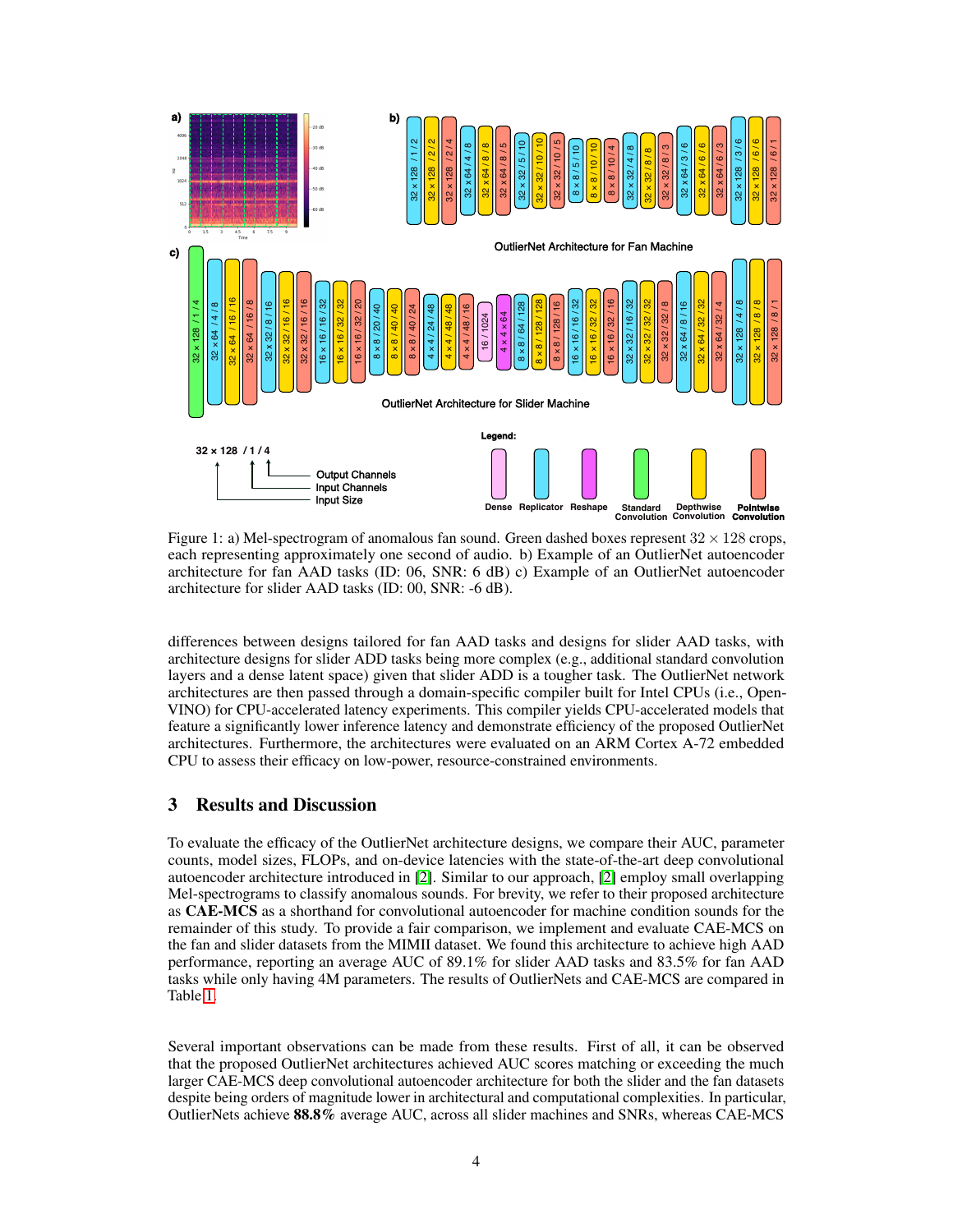<span id="page-3-0"></span>

Figure 1: a) Mel-spectrogram of anomalous fan sound. Green dashed boxes represent  $32 \times 128$  crops, each representing approximately one second of audio. b) Example of an OutlierNet autoencoder architecture for fan AAD tasks (ID: 06, SNR: 6 dB) c) Example of an OutlierNet autoencoder architecture for slider AAD tasks (ID: 00, SNR: -6 dB).

differences between designs tailored for fan AAD tasks and designs for slider AAD tasks, with architecture designs for slider ADD tasks being more complex (e.g., additional standard convolution layers and a dense latent space) given that slider ADD is a tougher task. The OutlierNet network architectures are then passed through a domain-specific compiler built for Intel CPUs (i.e., Open-VINO) for CPU-accelerated latency experiments. This compiler yields CPU-accelerated models that feature a significantly lower inference latency and demonstrate efficiency of the proposed OutlierNet architectures. Furthermore, the architectures were evaluated on an ARM Cortex A-72 embedded CPU to assess their efficacy on low-power, resource-constrained environments.

# 3 Results and Discussion

To evaluate the efficacy of the OutlierNet architecture designs, we compare their AUC, parameter counts, model sizes, FLOPs, and on-device latencies with the state-of-the-art deep convolutional autoencoder architecture introduced in [\[2\]](#page-5-1). Similar to our approach, [\[2\]](#page-5-1) employ small overlapping Mel-spectrograms to classify anomalous sounds. For brevity, we refer to their proposed architecture as CAE-MCS as a shorthand for convolutional autoencoder for machine condition sounds for the remainder of this study. To provide a fair comparison, we implement and evaluate CAE-MCS on the fan and slider datasets from the MIMII dataset. We found this architecture to achieve high AAD performance, reporting an average AUC of 89.1% for slider AAD tasks and 83.5% for fan AAD tasks while only having 4M parameters. The results of OutlierNets and CAE-MCS are compared in Table [1.](#page-4-0)

Several important observations can be made from these results. First of all, it can be observed that the proposed OutlierNet architectures achieved AUC scores matching or exceeding the much larger CAE-MCS deep convolutional autoencoder architecture for both the slider and the fan datasets despite being orders of magnitude lower in architectural and computational complexities. In particular, OutlierNets achieve 88.8% average AUC, across all slider machines and SNRs, whereas CAE-MCS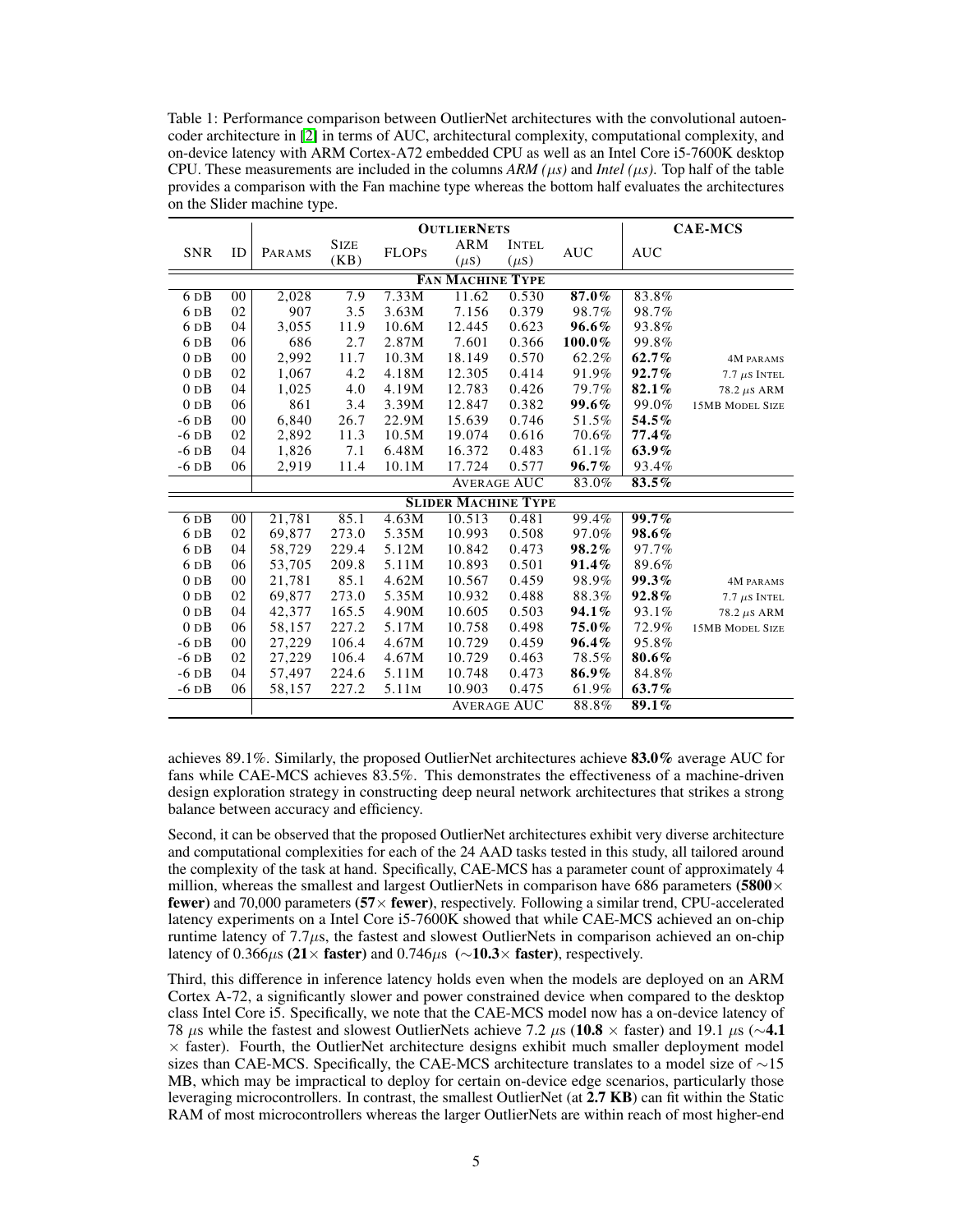<span id="page-4-0"></span>Table 1: Performance comparison between OutlierNet architectures with the convolutional autoencoder architecture in [\[2\]](#page-5-1) in terms of AUC, architectural complexity, computational complexity, and on-device latency with ARM Cortex-A72 embedded CPU as well as an Intel Core i5-7600K desktop CPU. These measurements are included in the columns  $ARM (\mu s)$  and *Intel* ( $\mu s$ ). Top half of the table provides a comparison with the Fan machine type whereas the bottom half evaluates the architectures on the Slider machine type.

|                            |                | <b>OUTLIERNETS</b> |                     |                   |                  |                           |            | <b>CAE-MCS</b> |                        |
|----------------------------|----------------|--------------------|---------------------|-------------------|------------------|---------------------------|------------|----------------|------------------------|
| <b>SNR</b>                 | ID             | PARAMS             | <b>SIZE</b><br>(KB) | <b>FLOPS</b>      | ARM<br>$(\mu s)$ | <b>INTEL</b><br>$(\mu s)$ | <b>AUC</b> | <b>AUC</b>     |                        |
| <b>FAN MACHINE TYPE</b>    |                |                    |                     |                   |                  |                           |            |                |                        |
| $6\overline{DB}$           | $00\,$         | 2,028              | 7.9                 | 7.33M             | 11.62            | 0.530                     | 87.0%      | 83.8%          |                        |
| 6 <sub>DB</sub>            | 02             | 907                | 3.5                 | 3.63M             | 7.156            | 0.379                     | 98.7%      | 98.7%          |                        |
| 6 <sub>DB</sub>            | 04             | 3,055              | 11.9                | 10.6M             | 12.445           | 0.623                     | 96.6%      | 93.8%          |                        |
| 6 <sub>D</sub> B           | 06             | 686                | 2.7                 | 2.87M             | 7.601            | 0.366                     | $100.0\%$  | 99.8%          |                        |
| 0 <sub>D</sub> B           | 0 <sub>0</sub> | 2.992              | 11.7                | 10.3M             | 18.149           | 0.570                     | 62.2%      | 62.7%          | <b>4M PARAMS</b>       |
| 0 <sub>D</sub> B           | 02             | 1,067              | 4.2                 | 4.18M             | 12.305           | 0.414                     | 91.9%      | $92.7\%$       | $7.7 \ \mu s$ Intel    |
| 0 <sub>D</sub> B           | 04             | 1,025              | 4.0                 | 4.19M             | 12.783           | 0.426                     | 79.7%      | 82.1%          | $78.2 \ \mu s$ ARM     |
| 0 <sub>D</sub> B           | 06             | 861                | 3.4                 | 3.39M             | 12.847           | 0.382                     | 99.6%      | 99.0%          | <b>15MB MODEL SIZE</b> |
| $-6$ DB                    | 00             | 6,840              | 26.7                | 22.9M             | 15.639           | 0.746                     | 51.5%      | $54.5\%$       |                        |
| $-6$ DB                    | 02             | 2,892              | 11.3                | 10.5M             | 19.074           | 0.616                     | 70.6%      | 77.4%          |                        |
| $-6$ DB                    | 04             | 1,826              | 7.1                 | 6.48M             | 16.372           | 0.483                     | 61.1%      | 63.9%          |                        |
| $-6$ DB                    | 06             | 2,919              | 11.4                | 10.1M             | 17.724           | 0.577                     | $96.7\%$   | 93.4%          |                        |
|                            |                |                    |                     |                   |                  | <b>AVERAGE AUC</b>        | 83.0%      | 83.5%          |                        |
| <b>SLIDER MACHINE TYPE</b> |                |                    |                     |                   |                  |                           |            |                |                        |
| 6 <sub>DB</sub>            | 00             | 21,781             | 85.1                | 4.63M             | 10.513           | 0.481                     | 99.4%      | $99.7\%$       |                        |
| 6 <sub>DB</sub>            | 02             | 69,877             | 273.0               | 5.35M             | 10.993           | 0.508                     | 97.0%      | 98.6%          |                        |
| 6 <sub>DB</sub>            | 04             | 58,729             | 229.4               | 5.12M             | 10.842           | 0.473                     | 98.2%      | 97.7%          |                        |
| 6 <sub>DB</sub>            | 06             | 53,705             | 209.8               | 5.11M             | 10.893           | 0.501                     | 91.4%      | 89.6%          |                        |
| 0 <sub>D</sub> B           | 00             | 21,781             | 85.1                | 4.62M             | 10.567           | 0.459                     | 98.9%      | 99.3%          | 4M PARAMS              |
| 0 <sub>D</sub> B           | 02             | 69,877             | 273.0               | 5.35M             | 10.932           | 0.488                     | 88.3%      | 92.8%          | $7.7 \ \mu s$ Intel    |
| 0 <sub>D</sub> B           | 04             | 42,377             | 165.5               | 4.90M             | 10.605           | 0.503                     | 94.1%      | 93.1%          | $78.2 \ \mu s$ ARM     |
| 0 <sub>D</sub> B           | 06             | 58,157             | 227.2               | 5.17M             | 10.758           | 0.498                     | 75.0%      | 72.9%          | <b>15MB MODEL SIZE</b> |
| $-6$ DB                    | $00\,$         | 27,229             | 106.4               | 4.67M             | 10.729           | 0.459                     | 96.4%      | 95.8%          |                        |
| $-6$ DB                    | 02             | 27,229             | 106.4               | 4.67M             | 10.729           | 0.463                     | 78.5%      | 80.6%          |                        |
| $-6$ DB                    | 04             | 57,497             | 224.6               | 5.11M             | 10.748           | 0.473                     | 86.9%      | 84.8%          |                        |
| $-6$ DB                    | 06             | 58,157             | 227.2               | 5.11 <sub>M</sub> | 10.903           | 0.475                     | 61.9%      | 63.7%          |                        |
|                            |                | <b>AVERAGE AUC</b> |                     |                   |                  | 88.8%                     | 89.1%      |                |                        |

achieves 89.1%. Similarly, the proposed OutlierNet architectures achieve 83.0% average AUC for fans while CAE-MCS achieves 83.5%. This demonstrates the effectiveness of a machine-driven design exploration strategy in constructing deep neural network architectures that strikes a strong balance between accuracy and efficiency.

Second, it can be observed that the proposed OutlierNet architectures exhibit very diverse architecture and computational complexities for each of the 24 AAD tasks tested in this study, all tailored around the complexity of the task at hand. Specifically, CAE-MCS has a parameter count of approximately 4 million, whereas the smallest and largest OutlierNets in comparison have 686 parameters (5800 $\times$ fewer) and 70,000 parameters (57× fewer), respectively. Following a similar trend, CPU-accelerated latency experiments on a Intel Core i5-7600K showed that while CAE-MCS achieved an on-chip runtime latency of  $7.7\mu s$ , the fastest and slowest OutlierNets in comparison achieved an on-chip latency of 0.366 $\mu$ s (21× faster) and 0.746 $\mu$ s (∼10.3× faster), respectively.

Third, this difference in inference latency holds even when the models are deployed on an ARM Cortex A-72, a significantly slower and power constrained device when compared to the desktop class Intel Core i5. Specifically, we note that the CAE-MCS model now has a on-device latency of 78 µs while the fastest and slowest OutlierNets achieve 7.2 µs (10.8  $\times$  faster) and 19.1 µs ( $\sim$ 4.1  $\times$  faster). Fourth, the OutlierNet architecture designs exhibit much smaller deployment model sizes than CAE-MCS. Specifically, the CAE-MCS architecture translates to a model size of  $\sim$ 15 MB, which may be impractical to deploy for certain on-device edge scenarios, particularly those leveraging microcontrollers. In contrast, the smallest OutlierNet (at 2.7 KB) can fit within the Static RAM of most microcontrollers whereas the larger OutlierNets are within reach of most higher-end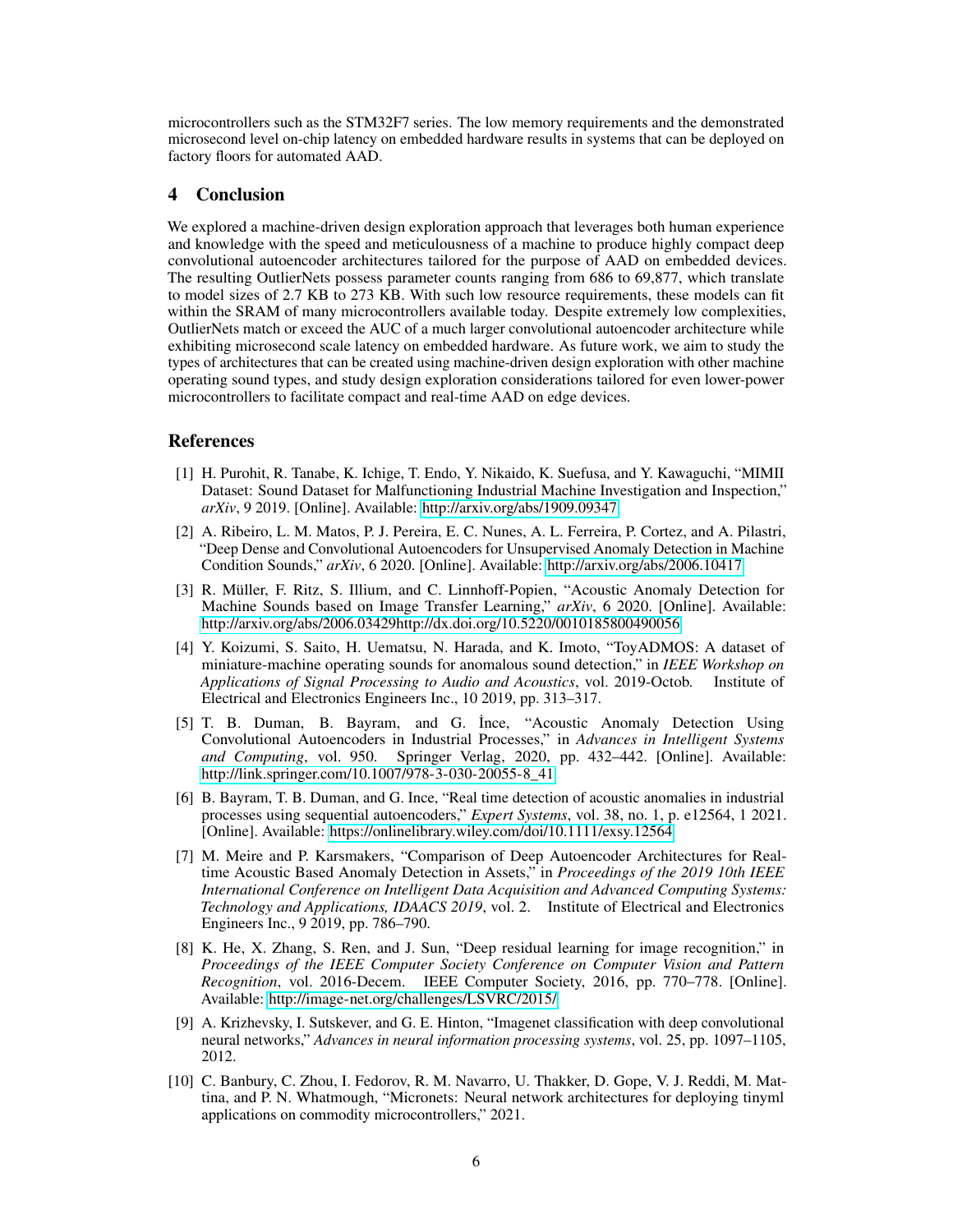microcontrollers such as the STM32F7 series. The low memory requirements and the demonstrated microsecond level on-chip latency on embedded hardware results in systems that can be deployed on factory floors for automated AAD.

## 4 Conclusion

We explored a machine-driven design exploration approach that leverages both human experience and knowledge with the speed and meticulousness of a machine to produce highly compact deep convolutional autoencoder architectures tailored for the purpose of AAD on embedded devices. The resulting OutlierNets possess parameter counts ranging from 686 to 69,877, which translate to model sizes of 2.7 KB to 273 KB. With such low resource requirements, these models can fit within the SRAM of many microcontrollers available today. Despite extremely low complexities, OutlierNets match or exceed the AUC of a much larger convolutional autoencoder architecture while exhibiting microsecond scale latency on embedded hardware. As future work, we aim to study the types of architectures that can be created using machine-driven design exploration with other machine operating sound types, and study design exploration considerations tailored for even lower-power microcontrollers to facilitate compact and real-time AAD on edge devices.

## References

- <span id="page-5-0"></span>[1] H. Purohit, R. Tanabe, K. Ichige, T. Endo, Y. Nikaido, K. Suefusa, and Y. Kawaguchi, "MIMII Dataset: Sound Dataset for Malfunctioning Industrial Machine Investigation and Inspection," *arXiv*, 9 2019. [Online]. Available:<http://arxiv.org/abs/1909.09347>
- <span id="page-5-1"></span>[2] A. Ribeiro, L. M. Matos, P. J. Pereira, E. C. Nunes, A. L. Ferreira, P. Cortez, and A. Pilastri, "Deep Dense and Convolutional Autoencoders for Unsupervised Anomaly Detection in Machine Condition Sounds," *arXiv*, 6 2020. [Online]. Available:<http://arxiv.org/abs/2006.10417>
- <span id="page-5-2"></span>[3] R. Müller, F. Ritz, S. Illium, and C. Linnhoff-Popien, "Acoustic Anomaly Detection for Machine Sounds based on Image Transfer Learning," *arXiv*, 6 2020. [Online]. Available: [http://arxiv.org/abs/2006.03429http://dx.doi.org/10.5220/0010185800490056](http://arxiv.org/abs/2006.03429 http://dx.doi.org/10.5220/0010185800490056)
- <span id="page-5-3"></span>[4] Y. Koizumi, S. Saito, H. Uematsu, N. Harada, and K. Imoto, "ToyADMOS: A dataset of miniature-machine operating sounds for anomalous sound detection," in *IEEE Workshop on Applications of Signal Processing to Audio and Acoustics*, vol. 2019-Octob. Institute of Electrical and Electronics Engineers Inc., 10 2019, pp. 313–317.
- <span id="page-5-4"></span>[5] T. B. Duman, B. Bayram, and G. İnce, "Acoustic Anomaly Detection Using Convolutional Autoencoders in Industrial Processes," in *Advances in Intelligent Systems and Computing*, vol. 950. Springer Verlag, 2020, pp. 432–442. [Online]. Available: [http://link.springer.com/10.1007/978-3-030-20055-8\\_41](http://link.springer.com/10.1007/978-3-030-20055-8_41)
- <span id="page-5-5"></span>[6] B. Bayram, T. B. Duman, and G. Ince, "Real time detection of acoustic anomalies in industrial processes using sequential autoencoders," *Expert Systems*, vol. 38, no. 1, p. e12564, 1 2021. [Online]. Available:<https://onlinelibrary.wiley.com/doi/10.1111/exsy.12564>
- <span id="page-5-6"></span>[7] M. Meire and P. Karsmakers, "Comparison of Deep Autoencoder Architectures for Realtime Acoustic Based Anomaly Detection in Assets," in *Proceedings of the 2019 10th IEEE International Conference on Intelligent Data Acquisition and Advanced Computing Systems: Technology and Applications, IDAACS 2019*, vol. 2. Institute of Electrical and Electronics Engineers Inc., 9 2019, pp. 786–790.
- <span id="page-5-7"></span>[8] K. He, X. Zhang, S. Ren, and J. Sun, "Deep residual learning for image recognition," in *Proceedings of the IEEE Computer Society Conference on Computer Vision and Pattern Recognition*, vol. 2016-Decem. IEEE Computer Society, 2016, pp. 770–778. [Online]. Available:<http://image-net.org/challenges/LSVRC/2015/>
- <span id="page-5-8"></span>[9] A. Krizhevsky, I. Sutskever, and G. E. Hinton, "Imagenet classification with deep convolutional neural networks," *Advances in neural information processing systems*, vol. 25, pp. 1097–1105, 2012.
- <span id="page-5-9"></span>[10] C. Banbury, C. Zhou, I. Fedorov, R. M. Navarro, U. Thakker, D. Gope, V. J. Reddi, M. Mattina, and P. N. Whatmough, "Micronets: Neural network architectures for deploying tinyml applications on commodity microcontrollers," 2021.